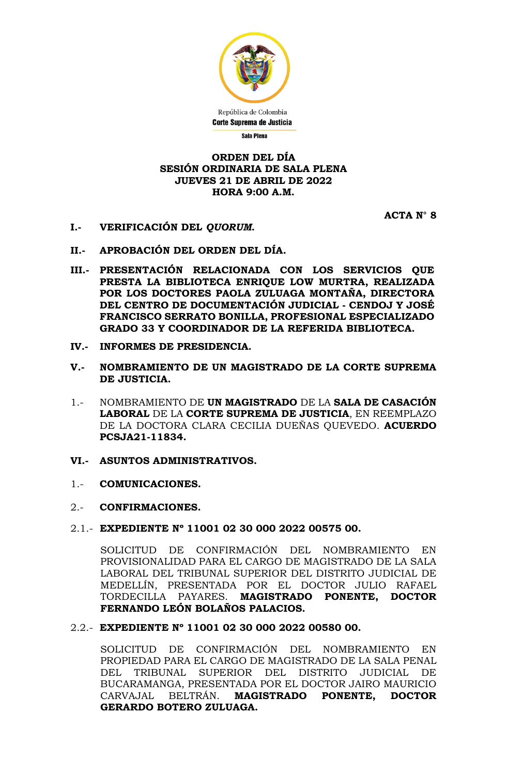

# **ORDEN DEL DÍA SESIÓN ORDINARIA DE SALA PLENA JUEVES 21 DE ABRIL DE 2022 HORA 9:00 A.M.**

**ACTA N° 8**

- **I.- VERIFICACIÓN DEL** *QUORUM***.**
- **II.- APROBACIÓN DEL ORDEN DEL DÍA.**
- **III.- PRESENTACIÓN RELACIONADA CON LOS SERVICIOS QUE PRESTA LA BIBLIOTECA ENRIQUE LOW MURTRA, REALIZADA POR LOS DOCTORES PAOLA ZULUAGA MONTAÑA, DIRECTORA DEL CENTRO DE DOCUMENTACIÓN JUDICIAL - CENDOJ Y JOSÉ FRANCISCO SERRATO BONILLA, PROFESIONAL ESPECIALIZADO GRADO 33 Y COORDINADOR DE LA REFERIDA BIBLIOTECA.**
- **IV.- INFORMES DE PRESIDENCIA.**
- **V.- NOMBRAMIENTO DE UN MAGISTRADO DE LA CORTE SUPREMA DE JUSTICIA.**
- 1.- NOMBRAMIENTO DE **UN MAGISTRADO** DE LA **SALA DE CASACIÓN LABORAL** DE LA **CORTE SUPREMA DE JUSTICIA**, EN REEMPLAZO DE LA DOCTORA CLARA CECILIA DUEÑAS QUEVEDO. **ACUERDO PCSJA21-11834.**
- **VI.- ASUNTOS ADMINISTRATIVOS.**
- 1.- **COMUNICACIONES.**

# 2.- **CONFIRMACIONES.**

2.1.- **EXPEDIENTE Nº 11001 02 30 000 2022 00575 00.**

SOLICITUD DE CONFIRMACIÓN DEL NOMBRAMIENTO EN PROVISIONALIDAD PARA EL CARGO DE MAGISTRADO DE LA SALA LABORAL DEL TRIBUNAL SUPERIOR DEL DISTRITO JUDICIAL DE MEDELLÍN, PRESENTADA POR EL DOCTOR JULIO RAFAEL TORDECILLA PAYARES. **MAGISTRADO PONENTE, DOCTOR FERNANDO LEÓN BOLAÑOS PALACIOS.**

# 2.2.- **EXPEDIENTE Nº 11001 02 30 000 2022 00580 00.**

SOLICITUD DE CONFIRMACIÓN DEL NOMBRAMIENTO EN PROPIEDAD PARA EL CARGO DE MAGISTRADO DE LA SALA PENAL DEL TRIBUNAL SUPERIOR DEL DISTRITO JUDICIAL DE BUCARAMANGA, PRESENTADA POR EL DOCTOR JAIRO MAURICIO CARVAJAL BELTRÁN. **MAGISTRADO PONENTE, DOCTOR GERARDO BOTERO ZULUAGA.**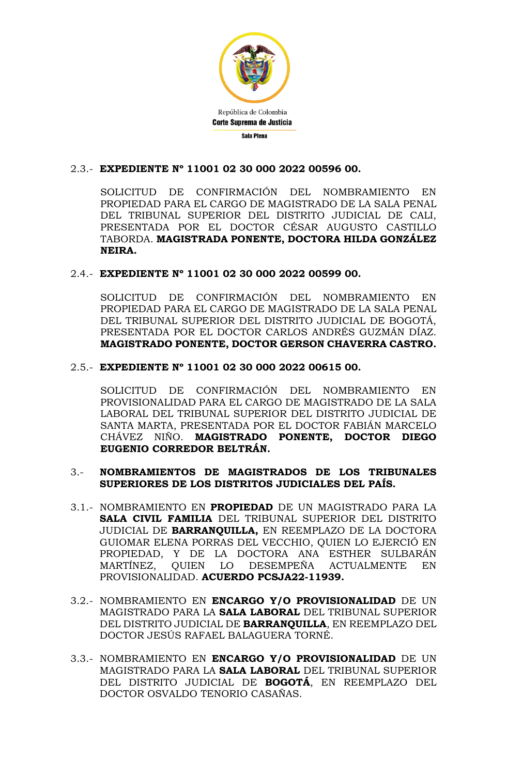

# 2.3.- **EXPEDIENTE Nº 11001 02 30 000 2022 00596 00.**

SOLICITUD DE CONFIRMACIÓN DEL NOMBRAMIENTO EN PROPIEDAD PARA EL CARGO DE MAGISTRADO DE LA SALA PENAL DEL TRIBUNAL SUPERIOR DEL DISTRITO JUDICIAL DE CALI, PRESENTADA POR EL DOCTOR CÉSAR AUGUSTO CASTILLO TABORDA. **MAGISTRADA PONENTE, DOCTORA HILDA GONZÁLEZ NEIRA.**

# 2.4.- **EXPEDIENTE Nº 11001 02 30 000 2022 00599 00.**

SOLICITUD DE CONFIRMACIÓN DEL NOMBRAMIENTO EN PROPIEDAD PARA EL CARGO DE MAGISTRADO DE LA SALA PENAL DEL TRIBUNAL SUPERIOR DEL DISTRITO JUDICIAL DE BOGOTÁ, PRESENTADA POR EL DOCTOR CARLOS ANDRÉS GUZMÁN DÍAZ. **MAGISTRADO PONENTE, DOCTOR GERSON CHAVERRA CASTRO.**

# 2.5.- **EXPEDIENTE Nº 11001 02 30 000 2022 00615 00.**

SOLICITUD DE CONFIRMACIÓN DEL NOMBRAMIENTO EN PROVISIONALIDAD PARA EL CARGO DE MAGISTRADO DE LA SALA LABORAL DEL TRIBUNAL SUPERIOR DEL DISTRITO JUDICIAL DE SANTA MARTA, PRESENTADA POR EL DOCTOR FABIÁN MARCELO CHÁVEZ NIÑO. **MAGISTRADO PONENTE, DOCTOR DIEGO EUGENIO CORREDOR BELTRÁN.**

# 3.- **NOMBRAMIENTOS DE MAGISTRADOS DE LOS TRIBUNALES SUPERIORES DE LOS DISTRITOS JUDICIALES DEL PAÍS.**

- 3.1.- NOMBRAMIENTO EN **PROPIEDAD** DE UN MAGISTRADO PARA LA **SALA CIVIL FAMILIA** DEL TRIBUNAL SUPERIOR DEL DISTRITO JUDICIAL DE **BARRANQUILLA,** EN REEMPLAZO DE LA DOCTORA GUIOMAR ELENA PORRAS DEL VECCHIO, QUIEN LO EJERCIÓ EN PROPIEDAD, Y DE LA DOCTORA ANA ESTHER SULBARÁN MARTÍNEZ, QUIEN LO DESEMPEÑA ACTUALMENTE EN PROVISIONALIDAD. **ACUERDO PCSJA22-11939.**
- 3.2.- NOMBRAMIENTO EN **ENCARGO Y/O PROVISIONALIDAD** DE UN MAGISTRADO PARA LA **SALA LABORAL** DEL TRIBUNAL SUPERIOR DEL DISTRITO JUDICIAL DE **BARRANQUILLA**, EN REEMPLAZO DEL DOCTOR JESÚS RAFAEL BALAGUERA TORNÉ.
- 3.3.- NOMBRAMIENTO EN **ENCARGO Y/O PROVISIONALIDAD** DE UN MAGISTRADO PARA LA **SALA LABORAL** DEL TRIBUNAL SUPERIOR DEL DISTRITO JUDICIAL DE **BOGOTÁ**, EN REEMPLAZO DEL DOCTOR OSVALDO TENORIO CASAÑAS.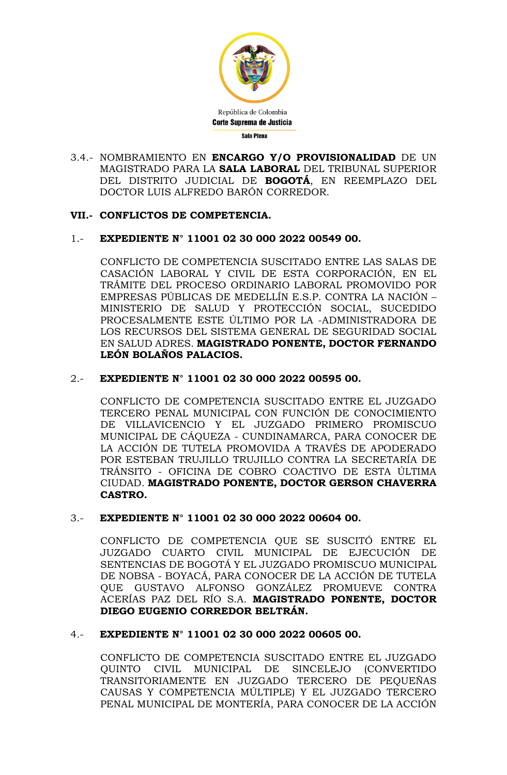

3.4.- NOMBRAMIENTO EN **ENCARGO Y/O PROVISIONALIDAD** DE UN MAGISTRADO PARA LA **SALA LABORAL** DEL TRIBUNAL SUPERIOR DEL DISTRITO JUDICIAL DE **BOGOTÁ**, EN REEMPLAZO DEL DOCTOR LUIS ALFREDO BARÓN CORREDOR.

# **VII.- CONFLICTOS DE COMPETENCIA.**

# 1.- **EXPEDIENTE N° 11001 02 30 000 2022 00549 00.**

CONFLICTO DE COMPETENCIA SUSCITADO ENTRE LAS SALAS DE CASACIÓN LABORAL Y CIVIL DE ESTA CORPORACIÓN, EN EL TRÁMITE DEL PROCESO ORDINARIO LABORAL PROMOVIDO POR EMPRESAS PÚBLICAS DE MEDELLÍN E.S.P. CONTRA LA NACIÓN – MINISTERIO DE SALUD Y PROTECCIÓN SOCIAL, SUCEDIDO PROCESALMENTE ESTE ÚLTIMO POR LA -ADMINISTRADORA DE LOS RECURSOS DEL SISTEMA GENERAL DE SEGURIDAD SOCIAL EN SALUD ADRES. **MAGISTRADO PONENTE, DOCTOR FERNANDO LEÓN BOLAÑOS PALACIOS.**

# 2.- **EXPEDIENTE N° 11001 02 30 000 2022 00595 00.**

CONFLICTO DE COMPETENCIA SUSCITADO ENTRE EL JUZGADO TERCERO PENAL MUNICIPAL CON FUNCIÓN DE CONOCIMIENTO DE VILLAVICENCIO Y EL JUZGADO PRIMERO PROMISCUO MUNICIPAL DE CÁQUEZA - CUNDINAMARCA, PARA CONOCER DE LA ACCIÓN DE TUTELA PROMOVIDA A TRAVÉS DE APODERADO POR ESTEBAN TRUJILLO TRUJILLO CONTRA LA SECRETARÍA DE TRÁNSITO - OFICINA DE COBRO COACTIVO DE ESTA ÚLTIMA CIUDAD. **MAGISTRADO PONENTE, DOCTOR GERSON CHAVERRA CASTRO.**

# 3.- **EXPEDIENTE N° 11001 02 30 000 2022 00604 00.**

CONFLICTO DE COMPETENCIA QUE SE SUSCITÓ ENTRE EL JUZGADO CUARTO CIVIL MUNICIPAL DE EJECUCIÓN DE SENTENCIAS DE BOGOTÁ Y EL JUZGADO PROMISCUO MUNICIPAL DE NOBSA - BOYACÁ, PARA CONOCER DE LA ACCIÓN DE TUTELA QUE GUSTAVO ALFONSO GONZÁLEZ PROMUEVE CONTRA ACERÍAS PAZ DEL RÍO S.A. **MAGISTRADO PONENTE, DOCTOR DIEGO EUGENIO CORREDOR BELTRÁN.**

# 4.- **EXPEDIENTE N° 11001 02 30 000 2022 00605 00.**

CONFLICTO DE COMPETENCIA SUSCITADO ENTRE EL JUZGADO QUINTO CIVIL MUNICIPAL DE SINCELEJO (CONVERTIDO TRANSITORIAMENTE EN JUZGADO TERCERO DE PEQUEÑAS CAUSAS Y COMPETENCIA MÚLTIPLE) Y EL JUZGADO TERCERO PENAL MUNICIPAL DE MONTERÍA, PARA CONOCER DE LA ACCIÓN